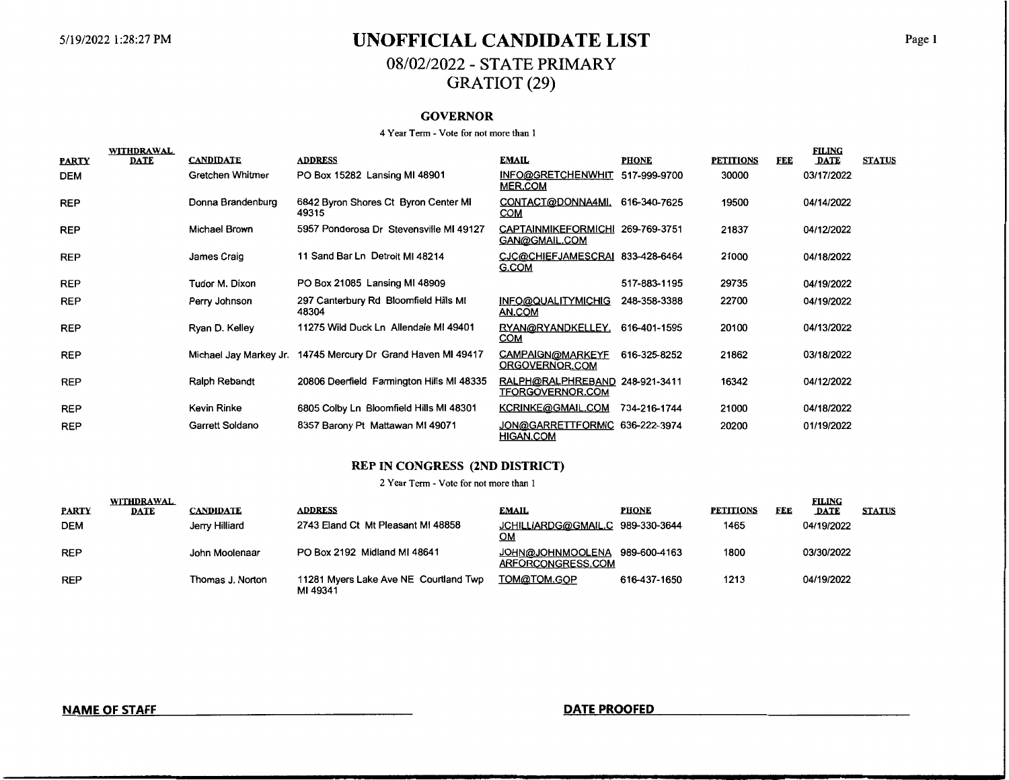# 5/19/2022 1:28:27 PM **UNOFFICIAL CANDIDATE LIST** Page 1 08/02/2022- STATE PRIMARY GRATIOT (29)

### **GOVERNOR**

#### 4 Year Term - Vote for not more than 1

|              | WITHDRAWAL<br><b>DATE</b> | <b>CANDIDATE</b>  | <b>ADDRESS</b>                                               | <b>EMAIL</b>                                              | <b>PHONE</b> | <b>PETITIONS</b> | FEE | <b>FILING</b><br><b>DATE</b> | <b>STATUS</b> |
|--------------|---------------------------|-------------------|--------------------------------------------------------------|-----------------------------------------------------------|--------------|------------------|-----|------------------------------|---------------|
| <b>PARTY</b> |                           |                   |                                                              |                                                           |              |                  |     |                              |               |
| <b>DEM</b>   |                           | Gretchen Whitmer  | PO Box 15282 Lansing MI 48901                                | INFO@GRETCHENWHIT<br><b>MER.COM</b>                       | 517-999-9700 | 30000            |     | 03/17/2022                   |               |
| <b>REP</b>   |                           | Donna Brandenburg | 6842 Byron Shores Ct Byron Center MI<br>49315                | CONTACT@DONNA4MI.<br><b>COM</b>                           | 616-340-7625 | 19500            |     | 04/14/2022                   |               |
| <b>REP</b>   |                           | Michael Brown     | 5957 Ponderosa Dr Stevensville MI 49127                      | CAPTAINMIKEFORMICHI 269-769-3751<br>GAN@GMAIL.COM         |              | 21837            |     | 04/12/2022                   |               |
| <b>REP</b>   |                           | James Craig       | 11 Sand Bar Ln Detroit MI 48214                              | CJC@CHIEFJAMESCRAI 833-428-6464<br>G.COM                  |              | 21000            |     | 04/18/2022                   |               |
| <b>REP</b>   |                           | Tudor M. Dixon    | PO Box 21085 Lansing MI 48909                                |                                                           | 517-883-1195 | 29735            |     | 04/19/2022                   |               |
| <b>REP</b>   |                           | Perry Johnson     | 297 Canterbury Rd Bloomfield Hills MI<br>48304               | INFO@QUALITYMICHIG<br>AN.COM                              | 248-358-3388 | 22700            |     | 04/19/2022                   |               |
| <b>REP</b>   |                           | Ryan D. Kelley    | 11275 Wild Duck Ln Allendale MI 49401                        | RYAN@RYANDKELLEY.<br><u>COM</u>                           | 616-401-1595 | 20100            |     | 04/13/2022                   |               |
| <b>REP</b>   |                           |                   | Michael Jay Markey Jr. 14745 Mercury Dr Grand Haven MI 49417 | CAMPAIGN@MARKEYF<br>ORGOVERNOR.COM                        | 616-325-8252 | 21862            |     | 03/18/2022                   |               |
| <b>REP</b>   |                           | Ralph Rebandt     | 20806 Deerfield Farmington Hills MI 48335                    | RALPH@RALPHREBAND 248-921-3411<br><b>TFORGOVERNOR.COM</b> |              | 16342            |     | 04/12/2022                   |               |
| <b>REP</b>   |                           | Kevin Rinke       | 6805 Colby Ln Bloomfield Hills MI 48301                      | KCRINKE@GMAIL.COM                                         | 734-216-1744 | 21000            |     | 04/18/2022                   |               |
| <b>REP</b>   |                           | Garrett Soldano   | 8357 Barony Pt Mattawan MI 49071                             | JON@GARRETTFORMIC 636-222-3974<br><b>HIGAN.COM</b>        |              | 20200            |     | 01/19/2022                   |               |

#### **REP IN CONGRESS (2ND DISTRICT)**

2 Year Term - Vote for not more than 1

|              | <b>WITHDRAWAL</b> |                  |                                                   |                                              |              |                  |     | FILING     |               |
|--------------|-------------------|------------------|---------------------------------------------------|----------------------------------------------|--------------|------------------|-----|------------|---------------|
| <b>PARTY</b> | <b>DATE</b>       | <b>CANDIDATE</b> | <b>ADDRESS</b>                                    | <b>EMAIL</b>                                 | <b>PHONE</b> | <b>PETITIONS</b> | FEE | DATE       | <b>STATUS</b> |
| <b>DEM</b>   |                   | Jerry Hilliard   | 2743 Eland Ct Mt Pleasant MI 48858                | JCHILLIARDG@GMAIL.C<br><u>ОМ</u>             | 989-330-3644 | 1465             |     | 04/19/2022 |               |
| <b>REP</b>   |                   | John Moolenaar   | PO Box 2192 Midland MI 48641                      | <b>JOHN@JOHNMOOLENA</b><br>ARFORCONGRESS.COM | 989-600-4163 | 1800             |     | 03/30/2022 |               |
| <b>REP</b>   |                   | Thomas J. Norton | 11281 Myers Lake Ave NE Courtland Twp<br>MI 49341 | TOM@TOM.GOP                                  | 616-437-1650 | 1213             |     | 04/19/2022 |               |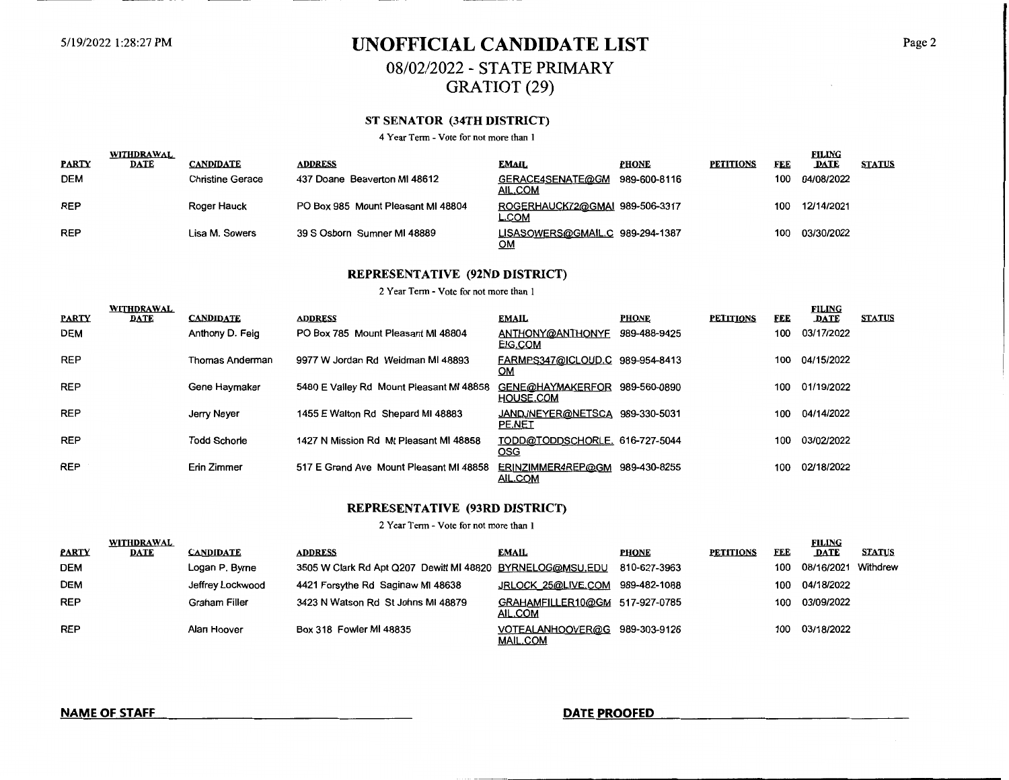# 5/19/2022 1:28:27 PM **UNOFFICIAL CANDIDATE LIST** Page2 08/02/2022- STATE PRIMARY

GRATIOT (29)

### **ST SENATOR (34TH DISTRICT)**

4 Year Term - Vote for not more than 1

| <b>PARTY</b> | WITHDRAWAL<br><b>DATE</b> | <b>CANDIDATE</b> | <b>ADDRESS</b>                     | <b>EMAIL</b>                            | <b>PHONE</b> | <b>PETITIONS</b> | <u>FEE</u> | <b>FILING</b><br><b>DATE</b> | <b>STATUS</b> |
|--------------|---------------------------|------------------|------------------------------------|-----------------------------------------|--------------|------------------|------------|------------------------------|---------------|
| <b>DEM</b>   |                           | Christine Gerace | 437 Doane Beaverton MI 48612       | GERACE4SENATE@GM<br>AIL.COM             | 989-600-8116 |                  | 100        | 04/08/2022                   |               |
| <b>REP</b>   |                           | Roger Hauck      | PO Box 985 Mount Pleasant MI 48804 | ROGERHAUCK72@GMAI 989-506-3317<br>L.COM |              |                  | 100        | 12/14/2021                   |               |
| <b>REP</b>   |                           | Lisa M. Sowers   | 39 S Osborn Sumner MI 48889        | LISASOWERS@GMAIL.C 989-294-1387<br>ОМ   |              |                  | 100        | 03/30/2022                   |               |

### **REPRESENTATIVE (92ND DISTRICT)**

#### 2 Year Tenn - Vote for not more than I

|              | WITHDRAWAL  |                     |                                          |                                              |              |                  |            | <b>FILING</b> |               |
|--------------|-------------|---------------------|------------------------------------------|----------------------------------------------|--------------|------------------|------------|---------------|---------------|
| <b>PARTY</b> | <b>DATE</b> | <b>CANDIDATE</b>    | <b>ADDRESS</b>                           | <b>EMAIL</b>                                 | <b>PHONE</b> | <b>PETITIONS</b> | <b>FEE</b> | <b>DATE</b>   | <b>STATUS</b> |
| <b>DEM</b>   |             | Anthony D. Feig     | PO Box 785 Mount Pleasant MI 48804       | ANTHONY@ANTHONYF<br>EIG.COM                  | 989-488-9425 |                  | 100        | 03/17/2022    |               |
| <b>REP</b>   |             | Thomas Anderman     | 9977 W Jordan Rd Weidman MI 48893        | FARMPS347@ICLOUD.C 989-954-8413<br><b>OM</b> |              |                  | 100        | 04/15/2022    |               |
| <b>REP</b>   |             | Gene Haymaker       | 5480 E Valley Rd Mount Pleasant MI 48858 | GENE@HAYMAKERFOR<br><b>HOUSE.COM</b>         | 989-560-0890 |                  | 100        | 01/19/2022    |               |
| <b>REP</b>   |             | Jerry Neyer         | 1455 E Walton Rd Shepard MI 48883        | JANDJNEYER@NETSCA<br>PE.NET                  | 989-330-5031 |                  | 100        | 04/14/2022    |               |
| <b>REP</b>   |             | <b>Todd Schorle</b> | 1427 N Mission Rd Mt Pleasant MI 48858   | TODD@TODDSCHORLE. 616-727-5044<br><b>OSG</b> |              |                  | 100        | 03/02/2022    |               |
| <b>REP</b>   |             | Erin Zimmer         | 517 E Grand Ave Mount Pleasant MI 48858  | ERINZIMMER4REP@GM<br>AIL.COM                 | 989-430-8255 |                  | 100        | 02/18/2022    |               |

#### **REPRESENTATIVE (93RD DISTRICT)**

2 Year Term - Vote for not more than I

|              | <b>WITHDRAWAL</b> |                  |                                                           |                                           |              |           |            | <b>FILING</b>       |               |
|--------------|-------------------|------------------|-----------------------------------------------------------|-------------------------------------------|--------------|-----------|------------|---------------------|---------------|
| <b>PARTY</b> | <b>DATE</b>       | <b>CANDIDATE</b> | <b>ADDRESS</b>                                            | <b>EMAIL</b>                              | PHONE        | PETITIONS | <b>FEE</b> | <b>DATE</b>         | <b>STATUS</b> |
| <b>DEM</b>   |                   | Logan P. Byrne   | 3505 W Clark Rd Apt Q207 Dewitt MI 48820 BYRNELOG@MSU.EDU |                                           | 810-627-3963 |           | 100        | 08/16/2021 Withdrew |               |
| <b>DEM</b>   |                   | Jeffrey Lockwood | 4421 Forsythe Rd Saginaw MI 48638                         | JRLOCK 25@LIVE.COM                        | 989-482-1088 |           | 100        | 04/18/2022          |               |
| <b>REP</b>   |                   | Graham Filler    | 3423 N Watson Rd St Johns MI 48879                        | GRAHAMFILLER10@GM 517-927-0785<br>AIL.COM |              |           | 100 -      | 03/09/2022          |               |
| <b>REP</b>   |                   | Alan Hoover      | Box 318 Fowler MI 48835                                   | VOTEALANHOOVER@G<br><b>MAIL.COM</b>       | 989-303-9126 |           | 100        | 03/18/2022          |               |

```
NAME OF STAFF DATE PROOFED
```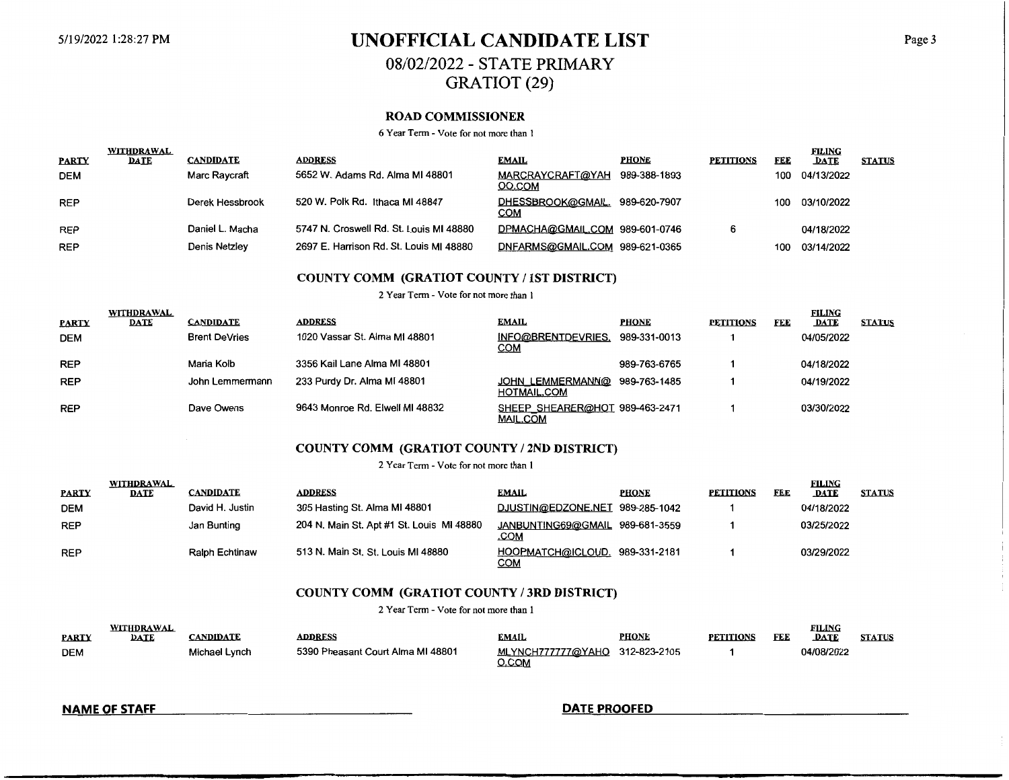# 5/19/2022 l :28:27 PM **UNOFFICIAL CANDIDATE LIST** Page 3 08/02/2022 - STATE PRIMARY GRATIOT (29)

#### **ROAD COMMISSIONER**

6 Year Term - Vote for not more than I

| <b>PARTY</b> | WITHDRAWAL<br><b>DATE</b> | <b>CANDIDATE</b> | <b>ADDRESS</b>                          | <b>EMAIL</b>                   | <b>PHONE</b> | <b>PETITIONS</b> | FEE | <b>FILING</b><br><b>DATE</b> | <b>STATUS</b> |
|--------------|---------------------------|------------------|-----------------------------------------|--------------------------------|--------------|------------------|-----|------------------------------|---------------|
| <b>DEM</b>   |                           | Marc Raycraft    | 5652 W. Adams Rd. Alma MI 48801         | MARCRAYCRAFT@YAH<br>OO.COM     | 989-388-1893 |                  | 100 | 04/13/2022                   |               |
| <b>REP</b>   |                           | Derek Hessbrook  | 520 W. Polk Rd. Ithaca MI 48847         | DHESSBROOK@GMAIL.<br>COM       | 989-620-7907 |                  | 100 | 03/10/2022                   |               |
| <b>REP</b>   |                           | Daniel L. Macha  | 5747 N. Croswell Rd. St. Louis MI 48880 | DPMACHA@GMAIL.COM 989-601-0746 |              |                  |     | 04/18/2022                   |               |
| <b>REP</b>   |                           | Denis Netzley    | 2697 E. Harrison Rd. St. Louis MI 48880 | DNFARMS@GMAIL.COM 989-621-0365 |              |                  | 100 | 03/14/2022                   |               |

### **COUNTY COMM (GRATIOT COUNTY/ 1ST DISTRICT)**

2 Year Term - Vote for not more than I

| <b>PARTY</b> | WITHDRAWAL<br>DATE | <b>CANDIDATE</b>     | <b>ADDRESS</b>                  | <b>EMAIL</b>                                        | <b>PHONE</b> | <b>PETITIONS</b> | FEE | <b>FILING</b><br><b>DATE</b> | <b>STATUS</b> |
|--------------|--------------------|----------------------|---------------------------------|-----------------------------------------------------|--------------|------------------|-----|------------------------------|---------------|
| <b>DEM</b>   |                    | <b>Brent DeVries</b> | 1020 Vassar St. Alma MI 48801   | INFO@BRENTDEVRIES.<br><u>СОМ</u>                    | 989-331-0013 |                  |     | 04/05/2022                   |               |
| <b>REP</b>   |                    | Maria Kolb           | 3356 Kail Lane Alma MI 48801    |                                                     | 989-763-6765 |                  |     | 04/18/2022                   |               |
| <b>REP</b>   |                    | John Lemmermann      | 233 Purdy Dr. Alma MI 48801     | JOHN LEMMERMANN@ 989-763-1485<br><b>HOTMAIL.COM</b> |              |                  |     | 04/19/2022                   |               |
| <b>REP</b>   |                    | Dave Owens           | 9643 Monroe Rd. Elwell MI 48832 | SHEEP SHEARER@HOT 989-463-2471<br><b>MAIL.COM</b>   |              |                  |     | 03/30/2022                   |               |

### **COUNTY COMM (GRATIOT COUNTY/ 2ND DISTRICT)**

2 Year Term - Vote for not more than 1

|              | <b>WITHDRAWAL</b> |                       |                                           |                                              |              |                  |     | <b>FILING</b> |               |
|--------------|-------------------|-----------------------|-------------------------------------------|----------------------------------------------|--------------|------------------|-----|---------------|---------------|
| <b>PARTY</b> | <b>DATE</b>       | <b>CANDIDATE</b>      | <b>ADDRESS</b>                            | <b>EMAIL</b>                                 | <b>PHONE</b> | <b>PETITIONS</b> | FEE | <b>DATE</b>   | <b>STATUS</b> |
| <b>DEM</b>   |                   | David H. Justin       | 305 Hasting St. Alma MI 48801             | DJUSTIN@EDZONE.NET 989-285-1042              |              |                  |     | 04/18/2022    |               |
| <b>REP</b>   |                   | Jan Bunting           | 204 N. Main St. Apt #1 St. Louis MI 48880 | JANBUNTING69@GMAIL 989-681-3559<br>.COM      |              |                  |     | 03/25/2022    |               |
| <b>REP</b>   |                   | <b>Ralph Echtinaw</b> | 513 N. Main St. St. Louis MI 48880        | HOOPMATCH@ICLOUD. 989-331-2181<br><u>сом</u> |              |                  |     | 03/29/2022    |               |

#### **COUNTY COMM (GRATIOT COUNTY/ 3RD DISTRICT)**

2 Year Term - Vote for not more than I

| <b>PARTY</b> | <b>WITHDRAWAL</b><br><b>DATE</b> | CANDIDATE     | <b>ADDRESS</b>                    | EMAIL                                   | <b>PHONE</b> | <b>PETITIONS</b> | FEE | <b>FILING</b><br><b>DATE</b> | <b>STATUS</b> |
|--------------|----------------------------------|---------------|-----------------------------------|-----------------------------------------|--------------|------------------|-----|------------------------------|---------------|
| <b>DEM</b>   |                                  | Michael Lynch | 5390 Pheasant Court Alma MI 48801 | MLYNCH777777@YAHO 312-823-2105<br>O.COM |              |                  |     | 04/08/2022                   |               |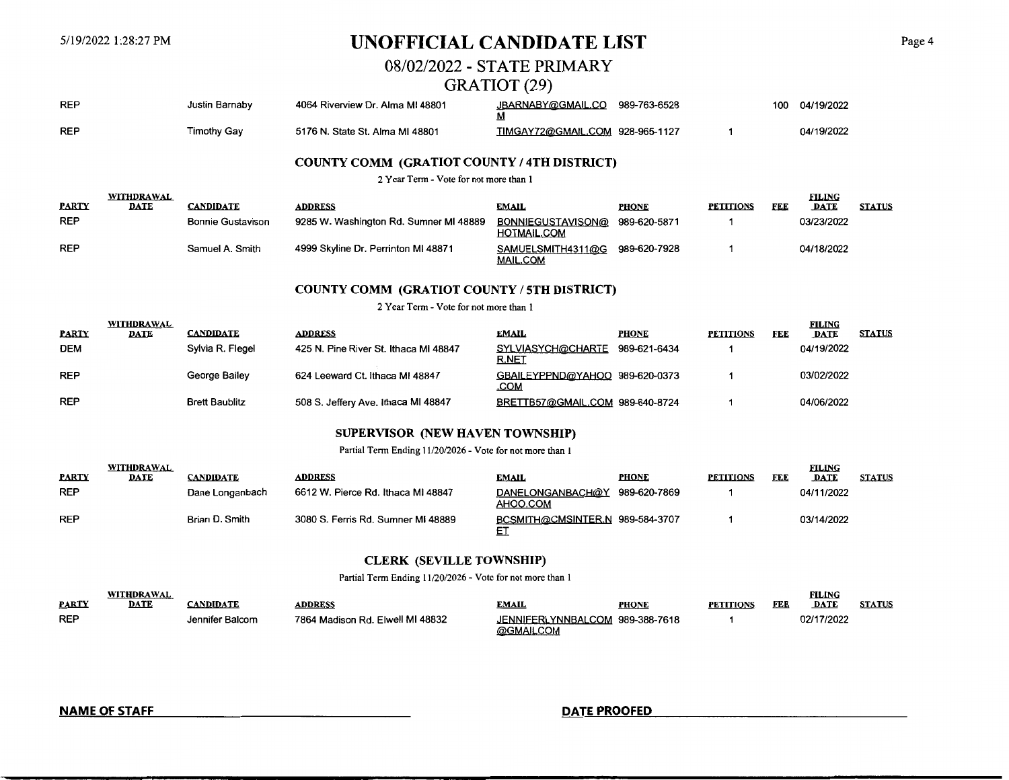# 5/19/2022 1:28:27 PM **UNOFFICIAL CANDIDATE LIST** Page4

# 08/02/2022- STATE PRIMARY

### GRATIOT (29)

| <b>REP</b> | Justin Barnaby     | 4064 Riverview Dr. Alma MI 48801 | JBARNABY@GMAIL.CO<br><u>IVI</u> | 989-763-6528 | 100 | 04/19/2022 |
|------------|--------------------|----------------------------------|---------------------------------|--------------|-----|------------|
| <b>REP</b> | <b>Timothy Gav</b> | 5176 N. State St. Alma MI 48801  | TIMGAY72@GMAIL.COM 928-965-1127 |              |     | 04/19/2022 |

### **COUNTY COMM (GRATIOT COUNTY/ 4TH DISTRICT)**

2 Year Term - Vote for not more than I

|              | <b>WITHDRAWAL</b> |                          |                                        | <b>EMAIL</b>                            | <b>PHONE</b> | <b>PETITIONS</b> | FED | FILING<br><b>DATE</b> | <b>STATUS</b> |
|--------------|-------------------|--------------------------|----------------------------------------|-----------------------------------------|--------------|------------------|-----|-----------------------|---------------|
| <b>PARTY</b> | <b>DATE</b>       | <b>CANDIDATE</b>         | <b>ADDRESS</b>                         |                                         |              |                  |     |                       |               |
| <b>REP</b>   |                   | <b>Bonnie Gustavison</b> | 9285 W. Washington Rd. Sumner MI 48889 | BONNIEGUSTAVISON@<br><b>HOTMAIL.COM</b> | 989-620-5871 |                  |     | 03/23/2022            |               |
| <b>REP</b>   |                   | Samuel A. Smith          | 4999 Skyline Dr. Perrinton MI 48871    | SAMUELSMITH4311@G<br><b>MAIL.COM</b>    | 989-620-7928 |                  |     | 04/18/2022            |               |

#### **COUNTY COMM (GRATIOT COUNTY/ 5TH DISTRICT)**

2 Year Term- Vote for not more than I

|              | <b>WITHDRAWAL</b> |                       |                                       |                                        |              |                  |     | <b>FILING</b> |               |
|--------------|-------------------|-----------------------|---------------------------------------|----------------------------------------|--------------|------------------|-----|---------------|---------------|
| <b>PARTY</b> | DATE              | <b>CANDIDATE</b>      | <b>ADDRESS</b>                        | <b>EMAIL</b>                           | <b>PHONE</b> | <b>PETITIONS</b> | FEE | <b>DATE</b>   | <b>STATUS</b> |
| <b>DEM</b>   |                   | Sylvia R. Flegel      | 425 N. Pine River St. Ithaca MI 48847 | SYLVIASYCH@CHARTE<br><u>R.NET</u>      | 989-621-6434 |                  |     | 04/19/2022    |               |
| <b>REP</b>   |                   | George Bailey         | 624 Leeward Ct. Ithaca MI 48847       | GBAILEYPPND@YAHOO 989-620-0373<br>.COM |              |                  |     | 03/02/2022    |               |
| <b>REP</b>   |                   | <b>Brett Baublitz</b> | 508 S. Jeffery Ave. Ithaca MI 48847   | BRETTB57@GMAIL.COM 989-640-8724        |              |                  |     | 04/06/2022    |               |

### **SUPERVISOR (NEW HAVEN TOWNSHIP)**

Partial Term Ending 11/20/2026 - Vote for not more than I

|              | WITHDRAWAL  |                 |                                    |                                           |              |                  |     | <b>FILING</b> |               |
|--------------|-------------|-----------------|------------------------------------|-------------------------------------------|--------------|------------------|-----|---------------|---------------|
| <b>PARTY</b> | <b>DATE</b> | CANDIDATE       | ADDRESS                            | EMAIL                                     | <b>PHONE</b> | <b>PETITIONS</b> | FEE | <b>DATE</b>   | <b>STATUS</b> |
| <b>REP</b>   |             | Dane Longanbach | 6612 W. Pierce Rd. Ithaca MI 48847 | DANELONGANBACH@Y 989-620-7869<br>AHOO.COM |              |                  |     | 04/11/2022    |               |
| <b>REP</b>   |             | Brian D. Smith  | 3080 S. Ferris Rd. Sumner MI 48889 | BCSMITH@CMSINTER.N 989-584-3707<br>ᇊ      |              |                  |     | 03/14/2022    |               |

### **CLERK (SEVILLE TOWNSHIP)**

Partial Term Ending 11/20/2026 - Vote for not more than I

|              | WITHDRAWAL |                 |                                  |                                 |              |                  |     | FILING     |               |
|--------------|------------|-----------------|----------------------------------|---------------------------------|--------------|------------------|-----|------------|---------------|
| <b>PARTY</b> | DATE       | <b>ANDIDATE</b> | <b>ADDRESS</b>                   | EMAIL                           | <b>PHONE</b> | <b>PETITIONS</b> | FEE | DATE       | <b>STATUS</b> |
| <b>REP</b>   |            | Jennifer Balcom | 7864 Madison Rd. Elwell MI 48832 | JENNIFERLYNNBALCOM 989-388-7618 |              |                  |     | 02/17/2022 |               |
|              |            |                 |                                  | @GMAILCOM                       |              |                  |     |            |               |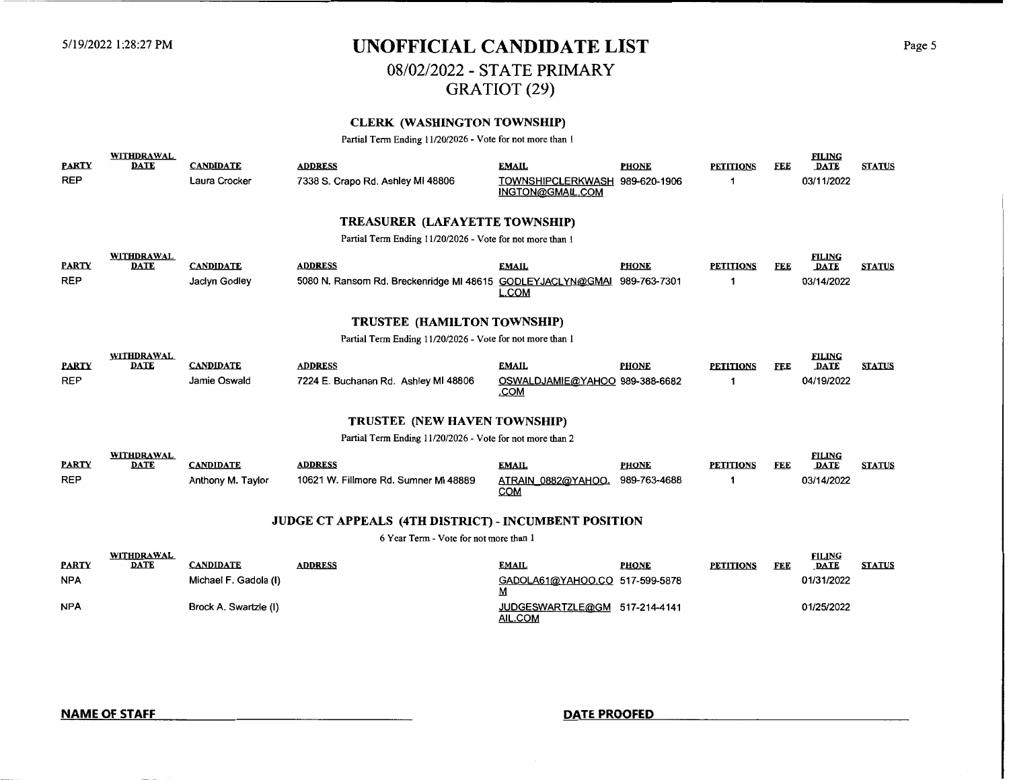# 5/19/2022 1:28:27 PM **UNOFFICIAL CANDIDATE LIST** Page 5

# 08/02/2022 - STATE PRIMARY

GRATIOT (29)

### **CLERK (WASHINGTON TOWNSHIP)**

Partial Term Ending 11/20/2026 - Vote for not more than I

| <b>PARTY</b>                                              | <b>WITHDRAWAL</b><br><b>DATE</b>   | <b>CANDIDATE</b>                      | <b>ADDRESS</b>                                             | <b>EMAIL</b>                                       | <b>PHONE</b>                 | <b>PETITIONS</b> | FEE        | <b>FILING</b><br><b>DATE</b> | <b>STATUS</b> |  |
|-----------------------------------------------------------|------------------------------------|---------------------------------------|------------------------------------------------------------|----------------------------------------------------|------------------------------|------------------|------------|------------------------------|---------------|--|
| <b>REP</b>                                                |                                    | Laura Crocker                         | 7338 S. Crapo Rd. Ashley MI 48806                          | TOWNSHIPCLERKWASH 989-620-1906<br>INGTON@GMAIL.COM |                              |                  |            | 03/11/2022                   |               |  |
| <b>TREASURER (LAFAYETTE TOWNSHIP)</b>                     |                                    |                                       |                                                            |                                                    |                              |                  |            |                              |               |  |
|                                                           |                                    |                                       | Partial Term Ending 11/20/2026 - Vote for not more than 1  |                                                    |                              |                  |            |                              |               |  |
| <b>PARTY</b>                                              | <b>WITHDRAWAL</b><br><b>DATE</b>   | <b>CANDIDATE</b>                      | <b>ADDRESS</b>                                             | <b>EMAIL</b>                                       | <b>PHONE</b>                 | <b>PETITIONS</b> | <b>FEE</b> | <b>FILING</b><br><b>DATE</b> | <b>STATUS</b> |  |
| <b>REP</b>                                                |                                    | Jaclyn Godley                         | 5080 N. Ransom Rd. Breckenridge MI 48615 GODLEYJACLYN@GMAI | <b>L.COM</b>                                       | 989-763-7301                 |                  |            | 03/14/2022                   |               |  |
|                                                           | <b>TRUSTEE (HAMILTON TOWNSHIP)</b> |                                       |                                                            |                                                    |                              |                  |            |                              |               |  |
| Partial Term Ending 11/20/2026 - Vote for not more than 1 |                                    |                                       |                                                            |                                                    |                              |                  |            |                              |               |  |
| <b>PARTY</b>                                              | <b>WITHDRAWAL</b><br><b>DATE</b>   | <b>CANDIDATE</b>                      | <b>ADDRESS</b>                                             | <b>EMAIL</b>                                       | <b>PHONE</b>                 | <b>PETITIONS</b> | FEE        | <b>FILING</b><br><b>DATE</b> | <b>STATUS</b> |  |
| <b>REP</b>                                                |                                    | Jamie Oswald                          | 7224 E. Buchanan Rd. Ashley MI 48806                       | OSWALDJAMIE@YAHOO 989-388-6682<br>.COM             |                              |                  |            | 04/19/2022                   |               |  |
|                                                           | TRUSTEE (NEW HAVEN TOWNSHIP)       |                                       |                                                            |                                                    |                              |                  |            |                              |               |  |
|                                                           |                                    |                                       | Partial Term Ending 11/20/2026 - Vote for not more than 2  |                                                    |                              |                  |            |                              |               |  |
|                                                           | <b>WITHDRAWAL</b>                  |                                       |                                                            |                                                    |                              |                  |            | <b>FILING</b>                |               |  |
| <b>PARTY</b><br><b>REP</b>                                | <b>DATE</b>                        | <b>CANDIDATE</b><br>Anthony M. Taylor | <b>ADDRESS</b><br>10621 W. Fillmore Rd. Sumner MI 48889    | <b>EMAIL</b><br>ATRAIN 0882@YAHOO.                 | <b>PHONE</b><br>989-763-4688 | <b>PETITIONS</b> | <b>FEE</b> | <b>DATE</b><br>03/14/2022    | <b>STATUS</b> |  |
|                                                           |                                    |                                       |                                                            | <b>COM</b>                                         |                              |                  |            |                              |               |  |
|                                                           |                                    |                                       | JUDGE CT APPEALS (4TH DISTRICT) - INCUMBENT POSITION       |                                                    |                              |                  |            |                              |               |  |
| 6 Year Term - Vote for not more than 1                    |                                    |                                       |                                                            |                                                    |                              |                  |            |                              |               |  |
|                                                           | WITHDRAWAL                         |                                       |                                                            |                                                    |                              |                  |            | <b>FILING</b>                |               |  |
| <b>PARTY</b>                                              | <b>DATE</b>                        | <b>CANDIDATE</b>                      | <b>ADDRESS</b>                                             | <b>EMAIL</b>                                       | <b>PHONE</b>                 | <b>PETITIONS</b> | <b>FEE</b> | <b>DATE</b>                  | <b>STATUS</b> |  |
| <b>NPA</b>                                                |                                    | Michael F. Gadola (I)                 |                                                            | GADOLA61@YAHOO.CO 517-599-5878<br>M                |                              |                  |            | 01/31/2022                   |               |  |
| <b>NPA</b>                                                |                                    | Brock A. Swartzle (I)                 |                                                            | JUDGESWARTZLE@GM<br><b>AIL.COM</b>                 | 517-214-4141                 |                  |            | 01/25/2022                   |               |  |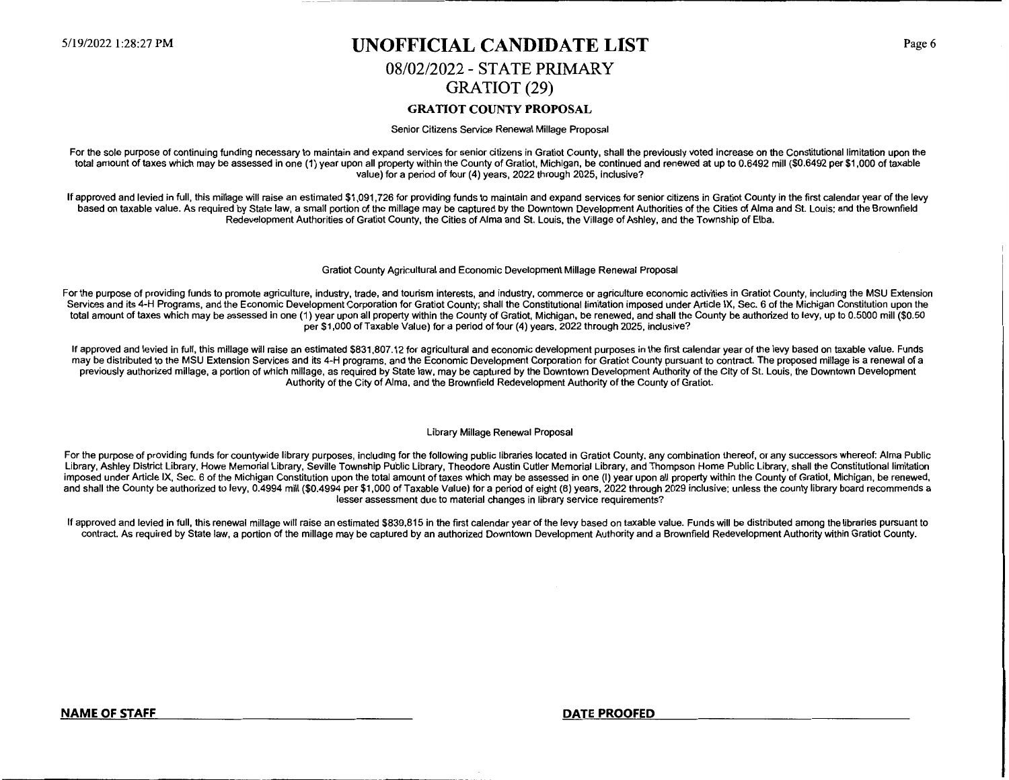## 5/19/2022 1:28:27 PM **UNOFFICIAL CANDIDATE LIST**

# 08/02/2022 - STATE PRIMARY GRATIOT (29)

#### **GRATIOT COUNTY PROPOSAL**

#### Senior Citizens Service Renewal Millage Proposal

For the sole purpose of continuing funding necessary to maintain and expand services for senior citizens in Gratiot County, shall the previously voted increase on the Constitutional limitation upon the total amount of taxes which may be assessed in one (1) year upon all property within the County of Gratiot, Michigan, be continued and renewed at up to 0.6492 mill (\$0.6492 per \$1,000 of taxable value) for a period of four (4) years, 2022 through 2025, inclusive?

If approved and levied in full, this millage will raise an estimated \$1,091,726 for providing funds to maintain and expand services for senior citizens in Gratiot County in the first calendar year of the levy based on taxable value. As required by State law, a small portion of the millage may be captured by the Downtown Development Authorities of the Cities of Alma and St. Louis; and the Brownfield Redevelopment Authorities of Gratiot County, the Cities of Alma and St. Louis, the Village of Ashley, and the Township of Elba.

#### Gratiot County Agricultural and Economic Development Millage Renewal Proposal

For the purpose of providing funds to promote agriculture, industry, trade, and tourism interests, and industry, commerce or agriculture economic activities in Gratiot County, including the MSU Extension Services and its 4-H Programs, and the Economic Development Corporation for Gratiot County; shall the Constitutional limitation imposed under Article IX, Sec. 6 of the Michigan Constitution upon the total amount of taxes which may be assessed in one (1) year upon all property within the County of Gratiot, Michigan, be renewed, and shall the County be authorized to levy, up to 0.5000 mill (\$0.50 per \$1,000 of Taxable Value) for a period of four (4) years, 2022 through 2025, inclusive?

If approved and levied in full, this millage will raise an estimated \$831,807.12 for agricultural and economic development purposes in the first calendar year of the levy based on taxable value. Funds may be distributed to the MSU Extension Services and its 4-H programs, and the Economic Development Corporation for Gratiot County pursuant to contract. The proposed millage is a renewal of a previously authorized millage, a portion of which millage, as required by State law, may be captured by the Downtown Development Authority of the City of St. Louis, the Downtown Development Authority of the City of Alma, and the Brownfield Redevelopment Authority of the County of Gratiot.

#### Library Millage Renewal Proposal

For the purpose of providing funds for countywide library purposes, including for the following public libraries located in Gratiot County, any combination thereof, or any successors whereof: Alma Public Library, Ashley District Library, Howe Memorial Library, Seville Township Public Library, Theodore Austin Cutler Memorial Library, and Thompson Home Public Library, shall the Constitutional limitation imposed under Article IX, Sec. 6 of the Michigan Constitution upon the total amount of taxes which may be assessed in one (I) year upon all property within the County of Gratiot, Michigan, be renewed, and shall the County be authorized to levy, 0.4994 mill (\$0.4994 per \$1,000 of Taxable Value) for a period of eight (8) years, 2022 through 2029 inclusive; unless the county library board recommends a lesser assessment due to material changes in library service requirements?

If approved and levied in full, this renewal millage will raise an estimated \$839,815 in the first calendar year of the levy based on taxable value. Funds **will** be distributed among the libraries pursuant to contract. As required by State law, a portion of the millage may be captured by an authorized Downtown Development Authority and a Brownfield Redevelopment Authority within Gratiot County.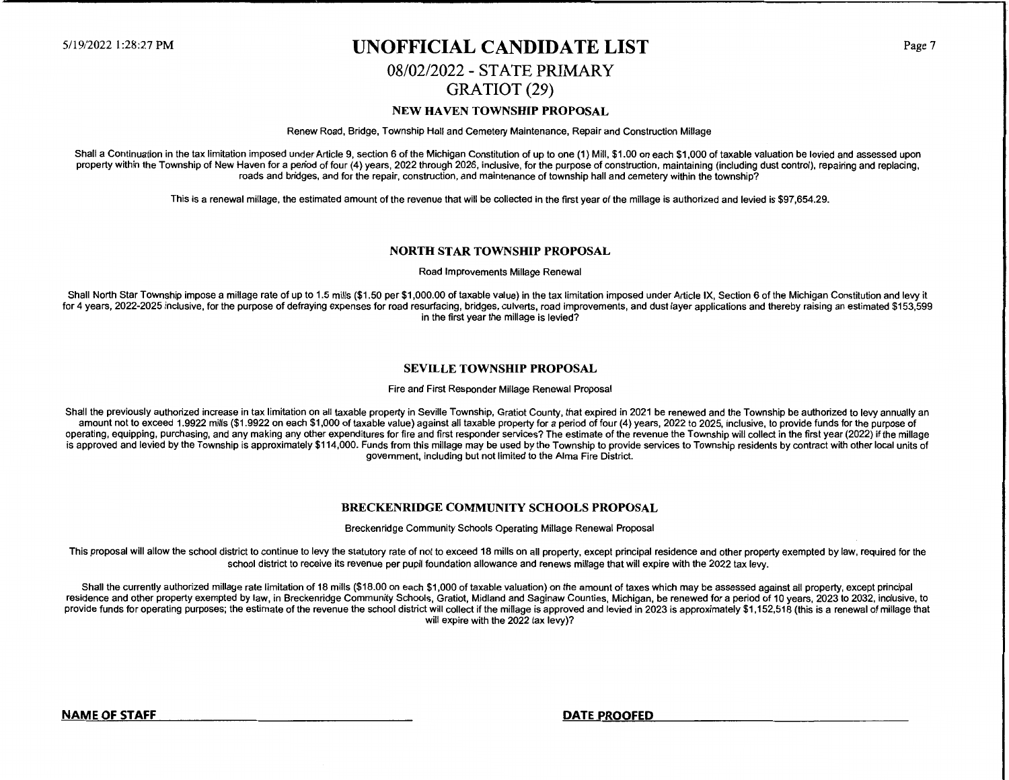## 5/19/2022 1:28:27 PM **UNOFFICIAL CANDIDATE LIST**

### 08/02/2022- STATE PRIMARY GRATIOT (29)

#### **NEW HA VEN TOWNSHIP PROPOSAL**

Renew Road, Bridge, Township Hall and Cemetery Maintenance, Repair and Construction Millage

Shall a Continuation in the tax limitation imposed under Article 9, section 6 of the Michigan Constitution of up to one (1) Mill, \$1.00 on each \$1,000 of taxable valuation be levied and assessed upon property within the Township of New Haven for a period of four (4) years, 2022 through 2026, inclusive, for the purpose of construction, maintaining (including dust control), repairing and replacing, roads and bridges, and for the repair, construction, and maintenance of township hall and cemetery within the township?

This is a renewal millage, the estimated amount of the revenue that will be collected in the first year of the millage is authorized and levied is \$97,654.29.

#### **NORTH STAR TOWNSHIP PROPOSAL**

Road Improvements Millage Renewal

Shall North Star Township impose a millage rate of up to 1.5 mills (\$1.50 per \$1,000.00 of taxable value) in the tax limitation imposed under Article IX, Section 6 of the Michigan Constitution and levy it for 4 years, 2022-2025 inclusive, for the purpose of defraying expenses for road resurfacing, bridges, culverts, road improvements, and dust layer applications and thereby raising an estimated \$153,599 in the first year the millage is levied?

#### **SEVILLE TOWNSHIP PROPOSAL**

Fire and First Responder Millage Renewal Proposal

Shall the previously authorized increase in tax limitation on all taxable property in Seville Township, Gratiot County, that expired in 2021 be renewed and the Township be authorized to levy annually an amount not to exceed 1.9922 mills (\$1.9922 on each \$1,000 of taxable value) against all taxable property for a period of four (4) years, 2022 to 2025, inclusive, to provide funds for the purpose of operating, equipping, purchasing, and any making any other expenditures for fire and first responder services? The estimate of the revenue the Township will collect in the first year (2022) if the millage is approved and levied by the Township is approximately \$114,000. Funds from this millage may be used by the Township to provide services to Township residents by contract with other local units of government, including but not limited to the Alma Fire District.

#### **BRECKENRIDGE COMMUNITY SCHOOLS PROPOSAL**

Breckenridge Community Schools Operating Millage Renewal Proposal

This proposal will allow the school district to continue to levy the statutory rate of not to exceed 18 mills on all property, except principal residence and other property exempted by law, required for the school district to receive its revenue per pupil foundation allowance and renews millage that will expire with the 2022 tax levy.

Shall the currently authorized millage rate limitation of 18 mills (\$18.00 on each \$1,000 of taxable valuation) on the amount of taxes which may be assessed against all property, except principal residence and other property exempted by law, in Breckenridge Community Schools, Gratiot, Midland and Saginaw Counties, Michigan, be renewed for a period of 10 years, 2023 to 2032, inclusive, to provide funds for operating purposes; the estimate of the revenue the school district will collect if the millage is approved and levied in 2023 is approximately \$1,152,518 (this is a renewal of millage that will expire with the 2022 tax levy)?

**NAME OF STAFF DATE PROOFED** 

Page 7